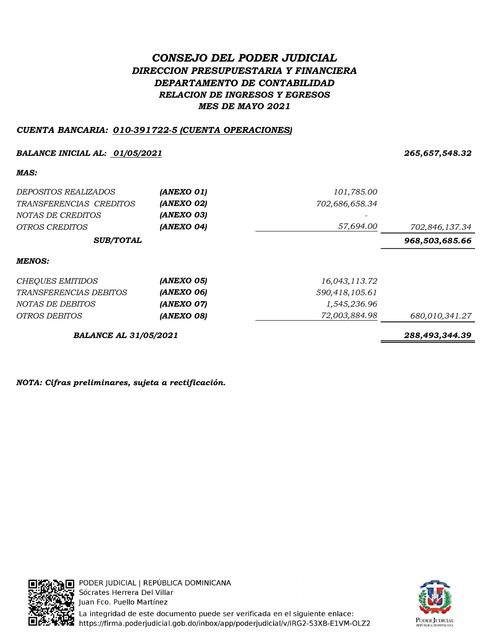# CONSEJO DEL PODER JUDICIAL DIRECCION PRESUPUESTARIA Y FINANCIERA DEPARTAMENTO DE CONTABILIDAD RELACION DE INGRESOS Y EGRESOS MES DE MAYO 2021

## CUENTA BANCARIA: 010-391722-5 (CUENTA OPERACIONES)

### BALANCE INICIAL AL: <u>01/05/2021</u> 265,657,548.32

| <i>DEPOSITOS REALIZADOS</i><br>TRANSFERENCIAS CREDITOS<br>NOTAS DE CREDITOS | (ANEXO 01)<br>(ANEXO 02)<br>(ANEXO 03) | 101,785.00<br>702,686,658.34 |                |
|-----------------------------------------------------------------------------|----------------------------------------|------------------------------|----------------|
| <i>OTROS CREDITOS</i>                                                       | (ANEXO 04)                             | 57,694.00                    | 702,846,137.34 |
| <b>SUB/TOTAL</b>                                                            |                                        |                              | 968,503,685.66 |
| <b>MENOS:</b>                                                               |                                        |                              |                |
| <b>CHEQUES EMITIDOS</b>                                                     | (ANEXO 05)                             | 16,043,113.72                |                |
| <i>TRANSFERENCIAS DEBITOS</i>                                               | (ANEXO 06)                             | 590,418,105.61               |                |
| NOTAS DE DEBITOS                                                            | (ANEXO 07)                             | 1,545,236.96                 |                |
| <i>OTROS DEBITOS</i>                                                        | (ANEXO 08)                             | 72,003,884.98                | 680,010,341.27 |
|                                                                             |                                        |                              |                |

BALANCE AL 31/05/2021 288,493,344.39

NOTA: Cifras preliminares, sujeta a rectificación.



PODER JUDICIAL | REPÚBLICA DOMINICANA Sócrates Herrera Del Villar Juan Fco. Puello Martínez La integridad de este documento puede ser verificada en el siguiente enlace: https://firma.poderjudicial.gob.do/inbox/app/poderjudicial/v/IRG2-53XB-E1VM-OLZ2

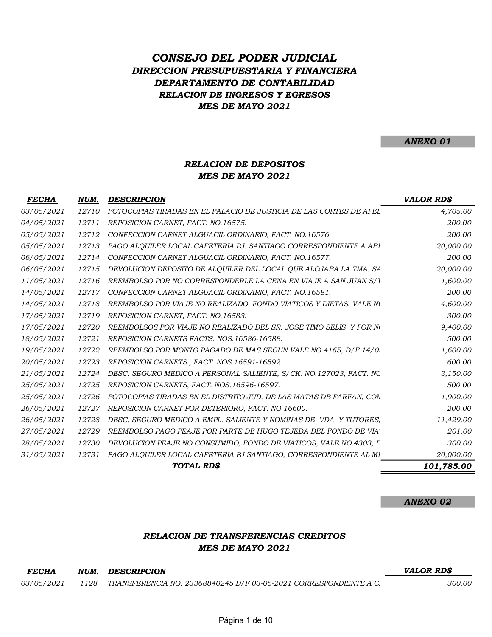# CONSEJO DEL PODER JUDICIAL DIRECCION PRESUPUESTARIA Y FINANCIERA DEPARTAMENTO DE CONTABILIDAD RELACION DE INGRESOS Y EGRESOS MES DE MAYO 2021

ANEXO 01

### MES DE MAYO 2021 RELACION DE DEPOSITOS

| <b>FECHA</b>      | NUM.  | <b>DESCRIPCION</b>                                                 | <b>VALOR RD\$</b> |
|-------------------|-------|--------------------------------------------------------------------|-------------------|
| 03/05/2021        | 12710 | FOTOCOPIAS TIRADAS EN EL PALACIO DE JUSTICIA DE LAS CORTES DE APEL | 4,705.00          |
| 04/05/2021        | 12711 | REPOSICION CARNET, FACT. NO.16575.                                 | 200.00            |
| 05/05/2021        | 12712 | CONFECCION CARNET ALGUACIL ORDINARIO, FACT. NO.16576.              | 200.00            |
| 05/05/2021        | 12713 | PAGO ALOUILER LOCAL CAFETERIA PJ. SANTIAGO CORRESPONDIENTE A ABI   | 20,000.00         |
| 06/05/2021        | 12714 | CONFECCION CARNET ALGUACIL ORDINARIO, FACT. NO.16577.              | 200.00            |
| 06/05/2021        | 12715 | DEVOLUCION DEPOSITO DE ALQUILER DEL LOCAL QUE ALOJABA LA 7MA. SA   | 20,000.00         |
| 11/05/2021        | 12716 | REEMBOLSO POR NO CORRESPONDERLE LA CENA EN VIAJE A SAN JUAN S/I    | 1,600.00          |
| 14/05/2021        | 12717 | CONFECCION CARNET ALGUACIL ORDINARIO, FACT. NO.16581.              | 200.00            |
| 14/05/2021        | 12718 | REEMBOLSO POR VIAJE NO REALIZADO, FONDO VIATICOS Y DIETAS, VALE NO | 4,600.00          |
| 17/05/2021        | 12719 | REPOSICION CARNET, FACT. NO.16583.                                 | 300.00            |
| 17/05/2021        | 12720 | REEMBOLSOS POR VIAJE NO REALIZADO DEL SR. JOSE TIMO SELIS Y POR NO | 9,400.00          |
| 18/05/2021        | 12721 | REPOSICION CARNETS FACTS. NOS.16586-16588.                         | 500.00            |
| 19/05/2021        | 12722 | REEMBOLSO POR MONTO PAGADO DE MAS SEGUN VALE NO.4165, D/F 14/0.    | 1,600.00          |
| 20/05/2021        | 12723 | REPOSICION CARNETS., FACT. NOS.16591-16592.                        | 600.00            |
| 21/05/2021        | 12724 | DESC. SEGURO MEDICO A PERSONAL SALIENTE, S/CK. NO.127023, FACT. NC | 3,150.00          |
| 25/05/2021        | 12725 | REPOSICION CARNETS, FACT. NOS.16596-16597.                         | 500.00            |
| 25/05/2021        | 12726 | FOTOCOPIAS TIRADAS EN EL DISTRITO JUD. DE LAS MATAS DE FARFAN, COM | 1,900.00          |
| 26/05/2021        | 12727 | REPOSICION CARNET POR DETERIORO, FACT. NO.16600.                   | 200.00            |
| <i>26/05/2021</i> | 12728 | DESC. SEGURO MEDICO A EMPL. SALIENTE Y NOMINAS DE VDA. Y TUTORES,  | 11,429.00         |
| 27/05/2021        | 12729 | REEMBOLSO PAGO PEAJE POR PARTE DE HUGO TEJEDA DEL FONDO DE VIA'.   | 201.00            |
| 28/05/2021        | 12730 | DEVOLUCION PEAJE NO CONSUMIDO, FONDO DE VIATICOS, VALE NO.4303, D  | 300.00            |
| 31/05/2021        | 12731 | PAGO ALQUILER LOCAL CAFETERIA PJ SANTIAGO, CORRESPONDIENTE AL MI   | 20,000.00         |
|                   |       | TOTAL RD\$                                                         | 101,785.00        |

ANEXO 02

## RELACION DE TRANSFERENCIAS CREDITOS MES DE MAYO 2021

FECHA NUM. DESCRIPCION VALOR RD\$

03/05/2021 1128 TRANSFERENCIA NO. 23368840245 D/F 03-05-2021 CORRESPONDIENTE A C. 300.00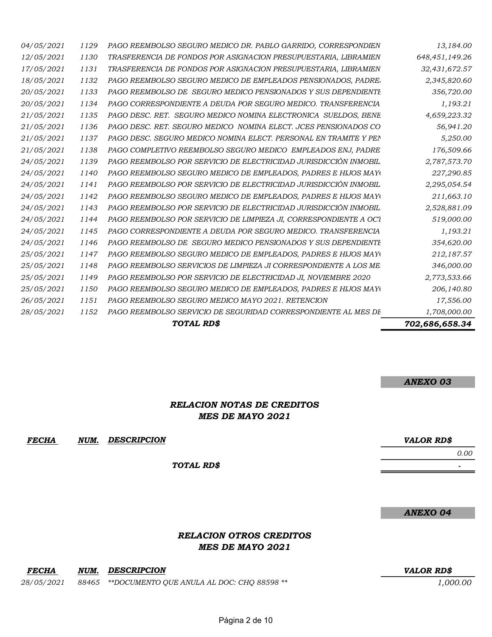|            |      | TOTAL RD\$                                                        | 702,686,658.34 |
|------------|------|-------------------------------------------------------------------|----------------|
| 28/05/2021 | 1152 | PAGO REEMBOLSO SERVICIO DE SEGURIDAD CORRESPONDIENTE AL MES DE    | 1,708,000.00   |
| 26/05/2021 | 1151 | PAGO REEMBOLSO SEGURO MEDICO MAYO 2021. RETENCION                 | 17,556.00      |
| 25/05/2021 | 1150 | PAGO REEMBOLSO SEGURO MEDICO DE EMPLEADOS, PADRES E HIJOS MAYO    | 206,140.80     |
| 25/05/2021 | 1149 | PAGO REEMBOLSO POR SERVICIO DE ELECTRICIDAD JI, NOVIEMBRE 2020    | 2,773,533.66   |
| 25/05/2021 | 1148 | PAGO REEMBOLSO SERVICIOS DE LIMPIEZA JI CORRESPONDIENTE A LOS ME  | 346,000.00     |
| 25/05/2021 | 1147 | PAGO REEMBOLSO SEGURO MEDICO DE EMPLEADOS, PADRES E HIJOS MAYO    | 212,187.57     |
| 24/05/2021 | 1146 | PAGO REEMBOLSO DE SEGURO MEDICO PENSIONADOS Y SUS DEPENDIENTE     | 354,620.00     |
| 24/05/2021 | 1145 | PAGO CORRESPONDIENTE A DEUDA POR SEGURO MEDICO. TRANSFERENCIA     | 1,193.21       |
| 24/05/2021 | 1144 | PAGO REEMBOLSO POR SERVICIO DE LIMPIEZA JI, CORRESPONDIENTE A OC1 | 519,000.00     |
| 24/05/2021 | 1143 | PAGO REEMBOLSO POR SERVICIO DE ELECTRICIDAD JURISDICCIÓN INMOBIL. | 2,528,881.09   |
| 24/05/2021 | 1142 | PAGO REEMBOLSO SEGURO MEDICO DE EMPLEADOS, PADRES E HIJOS MAYO    | 211,663.10     |
| 24/05/2021 | 1141 | PAGO REEMBOLSO POR SERVICIO DE ELECTRICIDAD JURISDICCIÓN INMOBIL. | 2,295,054.54   |
| 24/05/2021 | 1140 | PAGO REEMBOLSO SEGURO MEDICO DE EMPLEADOS, PADRES E HIJOS MAYO    | 227,290.85     |
| 24/05/2021 | 1139 | PAGO REEMBOLSO POR SERVICIO DE ELECTRICIDAD JURISDICCIÓN INMOBIL. | 2,787,573.70   |
| 21/05/2021 | 1138 | PAGO COMPLETIVO REEMBOLSO SEGURO MEDICO EMPLEADOS ENJ, PADRE      | 176,509.66     |
| 21/05/2021 | 1137 | PAGO DESC. SEGURO MEDICO NOMINA ELECT. PERSONAL EN TRAMITE Y PEN  | 5,250.00       |
| 21/05/2021 | 1136 | PAGO DESC. RET. SEGURO MEDICO NOMINA ELECT. JCES PENSIONADOS CO   | 56,941.20      |
| 21/05/2021 | 1135 | PAGO DESC. RET. SEGURO MEDICO NOMINA ELECTRONICA SUELDOS, BENE    | 4,659,223.32   |
| 20/05/2021 | 1134 | PAGO CORRESPONDIENTE A DEUDA POR SEGURO MEDICO. TRANSFERENCIA     | 1,193.21       |
| 20/05/2021 | 1133 | PAGO REEMBOLSO DE SEGURO MEDICO PENSIONADOS Y SUS DEPENDIENTE     | 356,720.00     |
| 18/05/2021 | 1132 | PAGO REEMBOLSO SEGURO MEDICO DE EMPLEADOS PENSIONADOS, PADRE      | 2,345,820.60   |
| 17/05/2021 | 1131 | TRASFERENCIA DE FONDOS POR ASIGNACION PRESUPUESTARIA, LIBRAMIEN   | 32,431,672.57  |
| 12/05/2021 | 1130 | TRASFERENCIA DE FONDOS POR ASIGNACION PRESUPUESTARIA, LIBRAMIEN   | 648,451,149.26 |
| 04/05/2021 | 1129 | PAGO REEMBOLSO SEGURO MEDICO DR. PABLO GARRIDO, CORRESPONDIEN     | 13,184.00      |

## RELACION NOTAS DE CREDITOS MES DE MAYO 2021

#### FECHA NUM. VALOR RD\$ DESCRIPCION

#### TOTAL RD\$

ANEXO 04

#### RELACION OTROS CREDITOS MES DE MAYO 2021

FECHA NUM. VALOR RD\$ DESCRIPCION

28/05/2021 88465 \*\*DOCUMENTO QUE ANULA AL DOC: CHQ 88598 \*\* 1,000.00

- 1990 - 1990 - 1990 - 1990 - 1990 - 1990 - 1990 - 1990 - 1990 - 1990 - 1990 - 1990 - 1990 - 1990 - 1990 - 19<br>1991 - 1990 - 1990 - 1990 - 1990 - 1990 - 1990 - 1990 - 1990 - 1990 - 1990 - 1990 - 1990 - 1990 - 1990 - 1990

0.00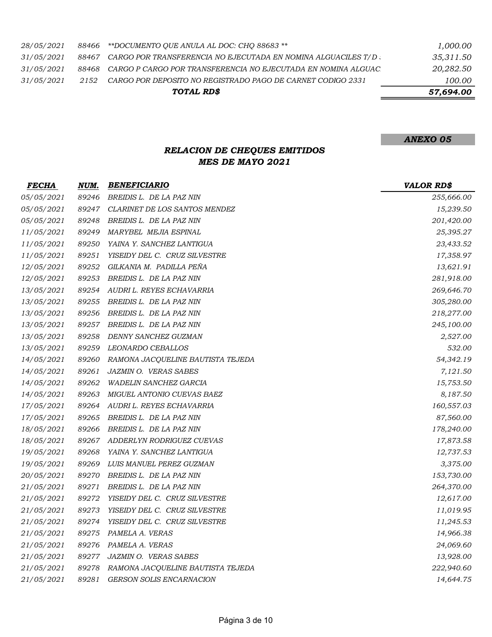|                   |       | TOTAL RD\$                                                      | 57,694.00 |
|-------------------|-------|-----------------------------------------------------------------|-----------|
| <i>31/05/2021</i> | 2152  | CARGO POR DEPOSITO NO REGISTRADO PAGO DE CARNET CODIGO 2331     | 100.00    |
| <i>31/05/2021</i> | 88468 | CARGO P CARGO POR TRANSFERENCIA NO EJECUTADA EN NOMINA ALGUAC   | 20,282.50 |
| <i>31/05/2021</i> | 88467 | CARGO POR TRANSFERENCIA NO EJECUTADA EN NOMINA ALGUACILES T/D . | 35,311.50 |
| <i>28/05/2021</i> |       | 88466 **DOCUMENTO OUE ANULA AL DOC: CHO 88683 **                | 1,000.00  |

## RELACION DE CHEQUES EMITIDOS MES DE MAYO 2021

| <b>FECHA</b> | NUM.  | <b>BENEFICIARIO</b>               | <b>VALOR RD\$</b> |
|--------------|-------|-----------------------------------|-------------------|
| 05/05/2021   | 89246 | BREIDIS L. DE LA PAZ NIN          | 255,666.00        |
| 05/05/2021   | 89247 | CLARINET DE LOS SANTOS MENDEZ     | 15,239.50         |
| 05/05/2021   | 89248 | BREIDIS L. DE LA PAZ NIN          | 201,420.00        |
| 11/05/2021   | 89249 | MARYBEL MEJIA ESPINAL             | 25,395.27         |
| 11/05/2021   | 89250 | YAINA Y. SANCHEZ LANTIGUA         | 23,433.52         |
| 11/05/2021   | 89251 | YISEIDY DEL C. CRUZ SILVESTRE     | 17,358.97         |
| 12/05/2021   | 89252 | GILKANIA M. PADILLA PEÑA          | 13,621.91         |
| 12/05/2021   | 89253 | BREIDIS L. DE LA PAZ NIN          | 281,918.00        |
| 13/05/2021   | 89254 | AUDRI L. REYES ECHAVARRIA         | 269,646.70        |
| 13/05/2021   | 89255 | BREIDIS L. DE LA PAZ NIN          | 305,280.00        |
| 13/05/2021   | 89256 | BREIDIS L. DE LA PAZ NIN          | 218,277.00        |
| 13/05/2021   | 89257 | BREIDIS L. DE LA PAZ NIN          | 245,100.00        |
| 13/05/2021   | 89258 | DENNY SANCHEZ GUZMAN              | 2,527.00          |
| 13/05/2021   | 89259 | LEONARDO CEBALLOS                 | 532.00            |
| 14/05/2021   | 89260 | RAMONA JACQUELINE BAUTISTA TEJEDA | 54,342.19         |
| 14/05/2021   | 89261 | <b>JAZMIN O. VERAS SABES</b>      | 7,121.50          |
| 14/05/2021   | 89262 | <b>WADELIN SANCHEZ GARCIA</b>     | 15,753.50         |
| 14/05/2021   | 89263 | MIGUEL ANTONIO CUEVAS BAEZ        | 8,187.50          |
| 17/05/2021   | 89264 | AUDRI L. REYES ECHAVARRIA         | 160,557.03        |
| 17/05/2021   | 89265 | BREIDIS L. DE LA PAZ NIN          | 87,560.00         |
| 18/05/2021   | 89266 | BREIDIS L. DE LA PAZ NIN          | 178,240.00        |
| 18/05/2021   | 89267 | ADDERLYN RODRIGUEZ CUEVAS         | 17,873.58         |
| 19/05/2021   | 89268 | YAINA Y. SANCHEZ LANTIGUA         | 12,737.53         |
| 19/05/2021   | 89269 | LUIS MANUEL PEREZ GUZMAN          | 3,375.00          |
| 20/05/2021   | 89270 | BREIDIS L. DE LA PAZ NIN          | 153,730.00        |
| 21/05/2021   | 89271 | BREIDIS L. DE LA PAZ NIN          | 264,370.00        |
| 21/05/2021   | 89272 | YISEIDY DEL C. CRUZ SILVESTRE     | 12,617.00         |
| 21/05/2021   | 89273 | YISEIDY DEL C. CRUZ SILVESTRE     | 11,019.95         |
| 21/05/2021   | 89274 | YISEIDY DEL C. CRUZ SILVESTRE     | 11,245.53         |
| 21/05/2021   | 89275 | PAMELA A. VERAS                   | 14,966.38         |
| 21/05/2021   | 89276 | PAMELA A. VERAS                   | 24,069.60         |
| 21/05/2021   | 89277 | <b>JAZMIN O. VERAS SABES</b>      | 13,928.00         |
| 21/05/2021   | 89278 | RAMONA JACQUELINE BAUTISTA TEJEDA | 222,940.60        |
| 21/05/2021   | 89281 | <b>GERSON SOLIS ENCARNACION</b>   | 14,644.75         |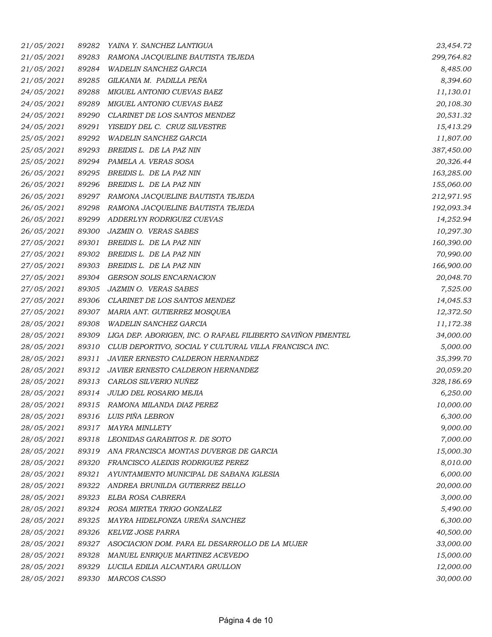| 21/05/2021 | 89282 | YAINA Y. SANCHEZ LANTIGUA                                    | 23,454.72  |
|------------|-------|--------------------------------------------------------------|------------|
| 21/05/2021 | 89283 | RAMONA JACQUELINE BAUTISTA TEJEDA                            | 299,764.82 |
| 21/05/2021 | 89284 | WADELIN SANCHEZ GARCIA                                       | 8,485.00   |
| 21/05/2021 | 89285 | GILKANIA M. PADILLA PEÑA                                     | 8,394.60   |
| 24/05/2021 | 89288 | MIGUEL ANTONIO CUEVAS BAEZ                                   | 11,130.01  |
| 24/05/2021 | 89289 | MIGUEL ANTONIO CUEVAS BAEZ                                   | 20,108.30  |
| 24/05/2021 | 89290 | CLARINET DE LOS SANTOS MENDEZ                                | 20,531.32  |
| 24/05/2021 | 89291 | YISEIDY DEL C. CRUZ SILVESTRE                                | 15,413.29  |
| 25/05/2021 | 89292 | WADELIN SANCHEZ GARCIA                                       | 11,807.00  |
| 25/05/2021 | 89293 | BREIDIS L. DE LA PAZ NIN                                     | 387,450.00 |
| 25/05/2021 | 89294 | PAMELA A. VERAS SOSA                                         | 20,326.44  |
| 26/05/2021 | 89295 | BREIDIS L. DE LA PAZ NIN                                     | 163,285.00 |
| 26/05/2021 | 89296 | BREIDIS L. DE LA PAZ NIN                                     | 155,060.00 |
| 26/05/2021 |       | 89297 RAMONA JACQUELINE BAUTISTA TEJEDA                      | 212,971.95 |
| 26/05/2021 | 89298 | RAMONA JACQUELINE BAUTISTA TEJEDA                            | 192,093.34 |
| 26/05/2021 | 89299 | ADDERLYN RODRIGUEZ CUEVAS                                    | 14,252.94  |
| 26/05/2021 | 89300 | JAZMIN O. VERAS SABES                                        | 10,297.30  |
| 27/05/2021 | 89301 | BREIDIS L. DE LA PAZ NIN                                     | 160,390.00 |
| 27/05/2021 | 89302 | BREIDIS L. DE LA PAZ NIN                                     | 70,990.00  |
| 27/05/2021 | 89303 | BREIDIS L. DE LA PAZ NIN                                     | 166,900.00 |
| 27/05/2021 | 89304 | <b>GERSON SOLIS ENCARNACION</b>                              | 20,048.70  |
| 27/05/2021 | 89305 | JAZMIN O. VERAS SABES                                        | 7,525.00   |
| 27/05/2021 | 89306 | CLARINET DE LOS SANTOS MENDEZ                                | 14,045.53  |
| 27/05/2021 | 89307 | MARIA ANT. GUTIERREZ MOSQUEA                                 | 12,372.50  |
| 28/05/2021 | 89308 | WADELIN SANCHEZ GARCIA                                       | 11,172.38  |
| 28/05/2021 | 89309 | LIGA DEP. ABORIGEN, INC. O RAFAEL FILIBERTO SAVIÑON PIMENTEL | 34,000.00  |
| 28/05/2021 | 89310 | CLUB DEPORTIVO, SOCIAL Y CULTURAL VILLA FRANCISCA INC.       | 5,000.00   |
| 28/05/2021 | 89311 | JAVIER ERNESTO CALDERON HERNANDEZ                            | 35,399.70  |
| 28/05/2021 | 89312 | <b>JAVIER ERNESTO CALDERON HERNANDEZ</b>                     | 20,059.20  |
| 28/05/2021 | 89313 | CARLOS SILVERIO NUÑEZ                                        | 328,186.69 |
| 28/05/2021 |       | 89314 JULIO DEL ROSARIO MEJIA                                | 6,250.00   |
| 28/05/2021 | 89315 | RAMONA MILANDA DIAZ PEREZ                                    | 10,000.00  |
| 28/05/2021 | 89316 | LUIS PIÑA LEBRON                                             | 6,300.00   |
| 28/05/2021 | 89317 | MAYRA MINLLETY                                               | 9,000.00   |
| 28/05/2021 | 89318 | LEONIDAS GARABITOS R. DE SOTO                                | 7,000.00   |
| 28/05/2021 | 89319 | ANA FRANCISCA MONTAS DUVERGE DE GARCIA                       | 15,000.30  |
| 28/05/2021 | 89320 | FRANCISCO ALEIXIS RODRIGUEZ PEREZ                            | 8,010.00   |
| 28/05/2021 | 89321 | AYUNTAMIENTO MUNICIPAL DE SABANA IGLESIA                     | 6,000.00   |
| 28/05/2021 | 89322 | ANDREA BRUNILDA GUTIERREZ BELLO                              | 20,000.00  |
| 28/05/2021 | 89323 | ELBA ROSA CABRERA                                            | 3,000.00   |
| 28/05/2021 | 89324 | ROSA MIRTEA TRIGO GONZALEZ                                   | 5,490.00   |
| 28/05/2021 | 89325 | MAYRA HIDELFONZA UREÑA SANCHEZ                               | 6,300.00   |
| 28/05/2021 | 89326 | KELVIZ JOSE PARRA                                            | 40,500.00  |
| 28/05/2021 | 89327 | ASOCIACION DOM. PARA EL DESARROLLO DE LA MUJER               | 33,000.00  |
| 28/05/2021 | 89328 | MANUEL ENRIQUE MARTINEZ ACEVEDO                              | 15,000.00  |
| 28/05/2021 | 89329 | LUCILA EDILIA ALCANTARA GRULLON                              | 12,000.00  |
| 28/05/2021 | 89330 | MARCOS CASSO                                                 | 30,000.00  |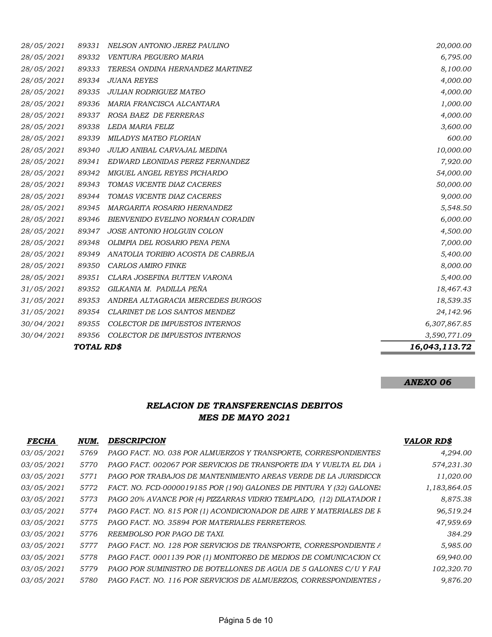|            | TOTAL RD\$ |                                    | 16,043,113.72 |
|------------|------------|------------------------------------|---------------|
| 30/04/2021 | 89356      | COLECTOR DE IMPUESTOS INTERNOS     | 3,590,771.09  |
| 30/04/2021 | 89355      | COLECTOR DE IMPUESTOS INTERNOS     | 6,307,867.85  |
| 31/05/2021 | 89354      | CLARINET DE LOS SANTOS MENDEZ      | 24,142.96     |
| 31/05/2021 | 89353      | ANDREA ALTAGRACIA MERCEDES BURGOS  | 18,539.35     |
| 31/05/2021 | 89352      | GILKANIA M. PADILLA PEÑA           | 18,467.43     |
| 28/05/2021 | 89351      | CLARA JOSEFINA BUTTEN VARONA       | 5,400.00      |
| 28/05/2021 | 89350      | <b>CARLOS AMIRO FINKE</b>          | 8,000.00      |
| 28/05/2021 | 89349      | ANATOLIA TORIBIO ACOSTA DE CABREJA | 5,400.00      |
| 28/05/2021 | 89348      | OLIMPIA DEL ROSARIO PENA PENA      | 7,000.00      |
| 28/05/2021 | 89347      | JOSE ANTONIO HOLGUIN COLON         | 4,500.00      |
| 28/05/2021 | 89346      | BIENVENIDO EVELINO NORMAN CORADIN  | 6,000.00      |
| 28/05/2021 | 89345      | MARGARITA ROSARIO HERNANDEZ        | 5,548.50      |
| 28/05/2021 | 89344      | TOMAS VICENTE DIAZ CACERES         | 9,000.00      |
| 28/05/2021 | 89343      | TOMAS VICENTE DIAZ CACERES         | 50,000.00     |
| 28/05/2021 | 89342      | MIGUEL ANGEL REYES PICHARDO        | 54,000.00     |
| 28/05/2021 | 89341      | EDWARD LEONIDAS PEREZ FERNANDEZ    | 7,920.00      |
| 28/05/2021 | 89340      | JULIO ANIBAL CARVAJAL MEDINA       | 10,000.00     |
| 28/05/2021 | 89339      | MILADYS MATEO FLORIAN              | 600.00        |
| 28/05/2021 | 89338      | LEDA MARIA FELIZ                   | 3,600.00      |
| 28/05/2021 | 89337      | ROSA BAEZ DE FERRERAS              | 4,000.00      |
| 28/05/2021 | 89336      | MARIA FRANCISCA ALCANTARA          | 1,000.00      |
| 28/05/2021 | 89335      | <b>JULIAN RODRIGUEZ MATEO</b>      | 4,000.00      |
| 28/05/2021 | 89334      | <b>JUANA REYES</b>                 | 4,000.00      |
| 28/05/2021 | 89333      | TERESA ONDINA HERNANDEZ MARTINEZ   | 8,100.00      |
| 28/05/2021 | 89332      | VENTURA PEGUERO MARIA              | 6,795.00      |
| 28/05/2021 | 89331      | NELSON ANTONIO JEREZ PAULINO       | 20,000.00     |

## RELACION DE TRANSFERENCIAS DEBITOS MES DE MAYO 2021

| <b>FECHA</b>      | NUM. | <b>DESCRIPCION</b>                                                   | <b>VALOR RD\$</b> |
|-------------------|------|----------------------------------------------------------------------|-------------------|
| <i>03/05/2021</i> | 5769 | PAGO FACT. NO. 038 POR ALMUERZOS Y TRANSPORTE, CORRESPONDIENTES      | 4,294.00          |
| <i>03/05/2021</i> | 5770 | PAGO FACT. 002067 POR SERVICIOS DE TRANSPORTE IDA Y VUELTA EL DIA 1  | 574,231.30        |
| <i>03/05/2021</i> | 5771 | PAGO POR TRABAJOS DE MANTENIMIENTO AREAS VERDE DE LA JURISDICCIO     | 11,020.00         |
| <i>03/05/2021</i> | 5772 | FACT. NO. FCD-0000019185 POR (190) GALONES DE PINTURA Y (32) GALONES | 1,183,864.05      |
| <i>03/05/2021</i> | 5773 | PAGO 20% AVANCE POR (4) PIZZARRAS VIDRIO TEMPLADO, (12) DILATADOR 1  | 8,875.38          |
| <i>03/05/2021</i> | 5774 | PAGO FACT. NO. 815 POR (1) ACONDICIONADOR DE AIRE Y MATERIALES DE R  | 96,519.24         |
| <i>03/05/2021</i> | 5775 | PAGO FACT. NO. 35894 POR MATERIALES FERRETEROS.                      | 47,959.69         |
| <i>03/05/2021</i> | 5776 | REEMBOLSO POR PAGO DE TAXI.                                          | 384.29            |
| <i>03/05/2021</i> | 5777 | PAGO FACT. NO. 128 POR SERVICIOS DE TRANSPORTE, CORRESPONDIENTE A    | 5,985.00          |
| <i>03/05/2021</i> | 5778 | PAGO FACT. 0001139 POR (1) MONITOREO DE MEDIOS DE COMUNICACION CO    | 69,940.00         |
| <i>03/05/2021</i> | 5779 | PAGO POR SUMINISTRO DE BOTELLONES DE AGUA DE 5 GALONES C/U Y FAI     | 102,320.70        |
| <i>03/05/2021</i> | 5780 | PAGO FACT. NO. 116 POR SERVICIOS DE ALMUERZOS, CORRESPONDIENTES A    | 9,876.20          |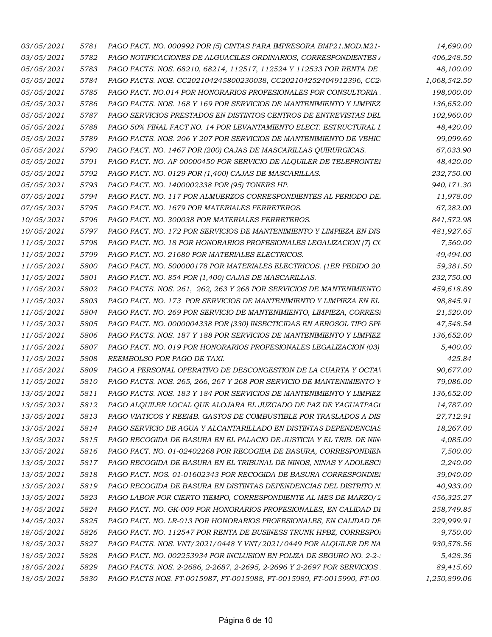| 03/05/2021        | 5781 | PAGO FACT. NO. 000992 POR (5) CINTAS PARA IMPRESORA BMP21.MOD.M21-      | 14,690.00    |
|-------------------|------|-------------------------------------------------------------------------|--------------|
| 03/05/2021        | 5782 | PAGO NOTIFICACIONES DE ALGUACILES ORDINARIOS, CORRESPONDIENTES A        | 406,248.50   |
| 05/05/2021        | 5783 | PAGO FACTS. NOS. 68210, 68214, 112517, 112524 Y 112533 POR RENTA DE.    | 48,100.00    |
| 05/05/2021        | 5784 | PAGO FACTS. NOS. CC202104245800230038, CC202104252404912396, CC20       | 1,068,542.50 |
| 05/05/2021        | 5785 | PAGO FACT. NO.014 POR HONORARIOS PROFESIONALES POR CONSULTORIA.         | 198,000.00   |
| 05/05/2021        | 5786 | PAGO FACTS. NOS. 168 Y 169 POR SERVICIOS DE MANTENIMIENTO Y LIMPIEZ     | 136,652.00   |
| 05/05/2021        | 5787 | PAGO SERVICIOS PRESTADOS EN DISTINTOS CENTROS DE ENTREVISTAS DEL        | 102,960.00   |
| 05/05/2021        | 5788 | PAGO 50% FINAL FACT NO. 14 POR LEVANTAMIENTO ELECT. ESTRUCTURAL I       | 48,420.00    |
| 05/05/2021        | 5789 | PAGO FACTS. NOS. 206 Y 207 POR SERVICIOS DE MANTENIMIENTO DE VEHIC      | 99,099.60    |
| 05/05/2021        | 5790 | PAGO FACT. NO. 1467 POR (200) CAJAS DE MASCARILLAS QUIRURGICAS.         | 67,033.90    |
| 05/05/2021        | 5791 | PAGO FACT. NO. AF 00000450 POR SERVICIO DE ALQUILER DE TELEPRONTEI      | 48,420.00    |
| 05/05/2021        | 5792 | PAGO FACT. NO. 0129 POR (1,400) CAJAS DE MASCARILLAS.                   | 232,750.00   |
| 05/05/2021        | 5793 | PAGO FACT. NO. 1400002338 POR (95) TONERS HP.                           | 940,171.30   |
| 07/05/2021        | 5794 | PAGO FACT. NO. 117 POR ALMUERZOS CORRESPONDIENTES AL PERIODO DE.        | 11,978.00    |
| 07/05/2021        | 5795 | PAGO FACT. NO. 1679 POR MATERIALES FERRETEROS.                          | 67,282.00    |
| 10/05/2021        | 5796 | PAGO FACT. NO. 300038 POR MATERIALES FERRETEROS.                        | 841,572.98   |
| 10/05/2021        | 5797 | PAGO FACT. NO. 172 POR SERVICIOS DE MANTENIMIENTO Y LIMPIEZA EN DIS     | 481,927.65   |
| 11/05/2021        | 5798 | PAGO FACT. NO. 18 POR HONORARIOS PROFESIONALES LEGALIZACION (7) CO      | 7,560.00     |
| 11/05/2021        | 5799 | PAGO FACT. NO. 21680 POR MATERIALES ELECTRICOS.                         | 49,494.00    |
| 11/05/2021        | 5800 | PAGO FACT. NO. 500000178 POR MATERIALES ELECTRICOS. (1ER PEDIDO 20.     | 59,381.50    |
| 11/05/2021        | 5801 | PAGO FACT. NO. 854 POR (1,400) CAJAS DE MASCARILLAS.                    | 232,750.00   |
| 11/05/2021        | 5802 | PAGO FACTS. NOS. 261, 262, 263 Y 268 POR SERVICIOS DE MANTENIMIENTO     | 459,618.89   |
| 11/05/2021        | 5803 | PAGO FACT. NO. 173 POR SERVICIOS DE MANTENIMIENTO Y LIMPIEZA EN EL      | 98,845.91    |
| 11/05/2021        | 5804 | PAGO FACT. NO. 269 POR SERVICIO DE MANTENIMIENTO, LIMPIEZA, CORRESI     | 21,520.00    |
| 11/05/2021        | 5805 | PAGO FACT. NO. 0000004338 POR (330) INSECTICIDAS EN AEROSOL TIPO SPF    | 47,548.54    |
| 11/05/2021        | 5806 | PAGO FACTS. NOS. 187 Y 188 POR SERVICIOS DE MANTENIMIENTO Y LIMPIEZ     | 136,652.00   |
| 11/05/2021        | 5807 | PAGO FACT. NO. 019 POR HONORARIOS PROFESIONALES LEGALIZACION (03)       | 5,400.00     |
| 11/05/2021        | 5808 | REEMBOLSO POR PAGO DE TAXI.                                             | 425.84       |
| 11/05/2021        | 5809 | PAGO A PERSONAL OPERATIVO DE DESCONGESTION DE LA CUARTA Y OCTAJ         | 90,677.00    |
| 11/05/2021        | 5810 | PAGO FACTS. NOS. 265, 266, 267 Y 268 POR SERVICIO DE MANTENIMIENTO Y    | 79,086.00    |
| 13/05/2021        | 5811 | PAGO FACTS. NOS. 183 Y 184 POR SERVICIOS DE MANTENIMIENTO Y LIMPIEZ     | 136,652.00   |
| 13/05/2021        | 5812 | PAGO ALQUILER LOCAL QUE ALOJARA EL JUZGADO DE PAZ DE YAGUATPAGO         | 14,787.00    |
| <i>13/05/2021</i> | 5813 | PAGO VIATICOS Y REEMB. GASTOS DE COMBUSTIBLE POR TRASLADOS A DIS        | 27,712.91    |
| 13/05/2021        | 5814 | PAGO SERVICIO DE AGUA Y ALCANTARILLADO EN DISTINTAS DEPENDENCIAS        | 18,267.00    |
| <i>13/05/2021</i> | 5815 | PAGO RECOGIDA DE BASURA EN EL PALACIO DE JUSTICIA Y EL TRIB. DE NIN     | 4,085.00     |
| 13/05/2021        | 5816 | PAGO FACT. NO. 01-02402268 POR RECOGIDA DE BASURA, CORRESPONDIEN        | 7,500.00     |
| 13/05/2021        | 5817 | PAGO RECOGIDA DE BASURA EN EL TRIBUNAL DE NINOS, NINAS Y ADOLESCI       | 2,240.00     |
| 13/05/2021        | 5818 | PAGO FACT. NOS. 01-01602343 POR RECOGIDA DE BASURA CORRESPONDIEI        | 39,040.00    |
| 13/05/2021        | 5819 | PAGO RECOGIDA DE BASURA EN DISTINTAS DEPENDENCIAS DEL DISTRITO N.       | 40,933.00    |
| <i>13/05/2021</i> | 5823 | PAGO LABOR POR CIERTO TIEMPO, CORRESPONDIENTE AL MES DE MARZO/2         | 456,325.27   |
| 14/05/2021        | 5824 | PAGO FACT. NO. GK-009 POR HONORARIOS PROFESIONALES, EN CALIDAD DI       | 258,749.85   |
| 14/05/2021        | 5825 | PAGO FACT. NO. LR-013 POR HONORARIOS PROFESIONALES, EN CALIDAD DE       | 229,999.91   |
| 18/05/2021        | 5826 | PAGO FACT. NO. 112547 POR RENTA DE BUSINESS TRUNK HPBZ, CORRESPOI       | 9,750.00     |
| 18/05/2021        | 5827 | PAGO FACTS. NOS. VNT/2021/0448 Y VNT/2021/0449 POR ALQUILER DE NA       | 930,578.56   |
| 18/05/2021        | 5828 | PAGO FACT. NO. 002253934 POR INCLUSION EN POLIZA DE SEGURO NO. 2-2-     | 5,428.36     |
| 18/05/2021        | 5829 | PAGO FACTS. NOS. 2-2686, 2-2687, 2-2695, 2-2696 Y 2-2697 POR SERVICIOS. | 89,415.60    |
| 18/05/2021        | 5830 | PAGO FACTS NOS. FT-0015987, FT-0015988, FT-0015989, FT-0015990, FT-00.  | 1,250,899.06 |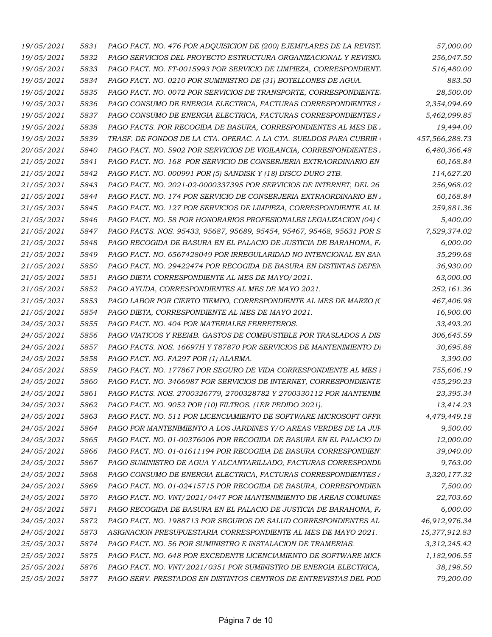| 19/05/2021               | 5831 | PAGO FACT. NO. 476 POR ADQUISICION DE (200) EJEMPLARES DE LA REVIST.   | 57,000.00      |
|--------------------------|------|------------------------------------------------------------------------|----------------|
| 19/05/2021<br>19/05/2021 | 5832 | PAGO SERVICIOS DEL PROYECTO ESTRUCTURA ORGANIZACIONAL Y REVISIO.       | 256,047.50     |
|                          | 5833 | PAGO FACT. NO. FT-0015993 POR SERVICIO DE LIMPIEZA, CORRESPONDIENT.    | 516,480.00     |
| 19/05/2021               | 5834 | PAGO FACT. NO. 0210 POR SUMINISTRO DE (31) BOTELLONES DE AGUA.         | 883.50         |
| 19/05/2021               | 5835 | PAGO FACT. NO. 0072 POR SERVICIOS DE TRANSPORTE, CORRESPONDIENTE.      | 28,500.00      |
| 19/05/2021               | 5836 | PAGO CONSUMO DE ENERGIA ELECTRICA, FACTURAS CORRESPONDIENTES /         | 2,354,094.69   |
| 19/05/2021               | 5837 | PAGO CONSUMO DE ENERGIA ELECTRICA, FACTURAS CORRESPONDIENTES /         | 5,462,099.85   |
| 19/05/2021               | 5838 | PAGO FACTS. POR RECOGIDA DE BASURA, CORRESPONDIENTES AL MES DE .       | 19,494.00      |
| 19/05/2021               | 5839 | TRASF. DE FONDOS DE LA CTA. OPERAC. A LA CTA. SUELDOS PARA CUBRIR (    | 457,566,288.73 |
| 20/05/2021               | 5840 | PAGO FACT. NO. 5902 POR SERVICIOS DE VIGILANCIA, CORRESPONDIENTES.     | 6,480,366.48   |
| 21/05/2021               | 5841 | PAGO FACT. NO. 168 POR SERVICIO DE CONSERJERIA EXTRAORDINARIO EN       | 60,168.84      |
| 21/05/2021               | 5842 | PAGO FACT. NO. 000991 POR (5) SANDISK Y (18) DISCO DURO 2TB.           | 114,627.20     |
| 21/05/2021               | 5843 | PAGO FACT. NO. 2021-02-0000337395 POR SERVICIOS DE INTERNET, DEL 26    | 256,968.02     |
| 21/05/2021               | 5844 | PAGO FACT. NO. 174 POR SERVICIO DE CONSERJERIA EXTRAORDINARIO EN 1     | 60,168.84      |
| 21/05/2021               | 5845 | PAGO FACT. NO. 127 POR SERVICIOS DE LIMPIEZA, CORRESPONDIENTE AL M.    | 259,881.36     |
| 21/05/2021               | 5846 | PAGO FACT. NO. 58 POR HONORARIOS PROFESIONALES LEGALIZACION (04) C     | 5,400.00       |
| 21/05/2021               | 5847 | PAGO FACTS. NOS. 95433, 95687, 95689, 95454, 95467, 95468, 95631 POR S | 7,529,374.02   |
| 21/05/2021               | 5848 | PAGO RECOGIDA DE BASURA EN EL PALACIO DE JUSTICIA DE BARAHONA, F.      | 6,000.00       |
| 21/05/2021               | 5849 | PAGO FACT. NO. 6567428049 POR IRREGULARIDAD NO INTENCIONAL EN SAN      | 35,299.68      |
| 21/05/2021               | 5850 | PAGO FACT. NO. 29422474 POR RECOGIDA DE BASURA EN DISTINTAS DEPEN      | 36,930.00      |
| 21/05/2021               | 5851 | PAGO DIETA CORRESPONDIENTE AL MES DE MAYO/2021.                        | 63,000.00      |
| 21/05/2021               | 5852 | PAGO AYUDA, CORRESPONDIENTES AL MES DE MAYO 2021.                      | 252,161.36     |
| 21/05/2021               | 5853 | PAGO LABOR POR CIERTO TIEMPO, CORRESPONDIENTE AL MES DE MARZO (C       | 467,406.98     |
| 21/05/2021               | 5854 | PAGO DIETA, CORRESPONDIENTE AL MES DE MAYO 2021.                       | 16,900.00      |
| 24/05/2021               | 5855 | PAGO FACT. NO. 404 POR MATERIALES FERRETEROS.                          | 33,493.20      |
| 24/05/2021               | 5856 | PAGO VIATICOS Y REEMB. GASTOS DE COMBUSTIBLE POR TRASLADOS A DIS       | 306,645.59     |
| 24/05/2021               | 5857 | PAGO FACTS. NOS. 16697H Y T87870 POR SERVICIOS DE MANTENIMIENTO DI     | 30,695.88      |
| 24/05/2021               | 5858 | PAGO FACT. NO. FA297 POR (1) ALARMA.                                   | 3,390.00       |
| 24/05/2021               | 5859 | PAGO FACT. NO. 177867 POR SEGURO DE VIDA CORRESPONDIENTE AL MES 1      | 755,606.19     |
| 24/05/2021               | 5860 | PAGO FACT. NO. 3466987 POR SERVICIOS DE INTERNET, CORRESPONDIENTE      | 455,290.23     |
| 24/05/2021               | 5861 | PAGO FACTS. NOS. 2700326779, 2700328782 Y 2700330112 POR MANTENIM.     | 23,395.34      |
| 24/05/2021               | 5862 | PAGO FACT. NO. 9052 POR (10) FILTROS. (1ER PEDIDO 2021).               | 13,414.23      |
| 24/05/2021               | 5863 | PAGO FACT. NO. 511 POR LICENCIAMIENTO DE SOFTWARE MICROSOFT OFFIC      | 4,479,449.18   |
| 24/05/2021               | 5864 | PAGO POR MANTENIMIENTO A LOS JARDINES Y/O AREAS VERDES DE LA JUF       | 9,500.00       |
| 24/05/2021               | 5865 | PAGO FACT. NO. 01-00376006 POR RECOGIDA DE BASURA EN EL PALACIO DI     | 12,000.00      |
| 24/05/2021               | 5866 | PAGO FACT. NO. 01-01611194 POR RECOGIDA DE BASURA CORRESPONDIEN'.      | 39,040.00      |
| 24/05/2021               | 5867 | PAGO SUMINISTRO DE AGUA Y ALCANTARILLADO, FACTURAS CORRESPONDI         | 9,763.00       |
| 24/05/2021               | 5868 | PAGO CONSUMO DE ENERGIA ELECTRICA, FACTURAS CORRESPONDIENTES /         | 3,320,177.32   |
| 24/05/2021               | 5869 | PAGO FACT. NO. 01-02415715 POR RECOGIDA DE BASURA, CORRESPONDIEN       | 7,500.00       |
|                          |      |                                                                        |                |
| 24/05/2021               | 5870 | PAGO FACT. NO. VNT/2021/0447 POR MANTENIMIENTO DE AREAS COMUNES        | 22,703.60      |
| 24/05/2021               | 5871 | PAGO RECOGIDA DE BASURA EN EL PALACIO DE JUSTICIA DE BARAHONA, F.      | 6,000.00       |
| 24/05/2021               | 5872 | PAGO FACT. NO. 1988713 POR SEGUROS DE SALUD CORRESPONDIENTES AL        | 46,912,976.34  |
| 24/05/2021               | 5873 | ASIGNACION PRESUPUESTARIA CORRESPONDIENTE AL MES DE MAYO 2021.         | 15,377,912.83  |
| 25/05/2021               | 5874 | PAGO FACT. NO. 56 POR SUMINISTRO E INSTALACION DE TRAMERIAS.           | 3,312,245.42   |
| 25/05/2021               | 5875 | PAGO FACT. NO. 648 POR EXCEDENTE LICENCIAMIENTO DE SOFTWARE MICF       | 1,182,906.55   |
| 25/05/2021               | 5876 | PAGO FACT. NO. VNT/2021/0351 POR SUMINISTRO DE ENERGIA ELECTRICA,      | 38,198.50      |
| 25/05/2021               | 5877 | PAGO SERV. PRESTADOS EN DISTINTOS CENTROS DE ENTREVISTAS DEL POD       | 79,200.00      |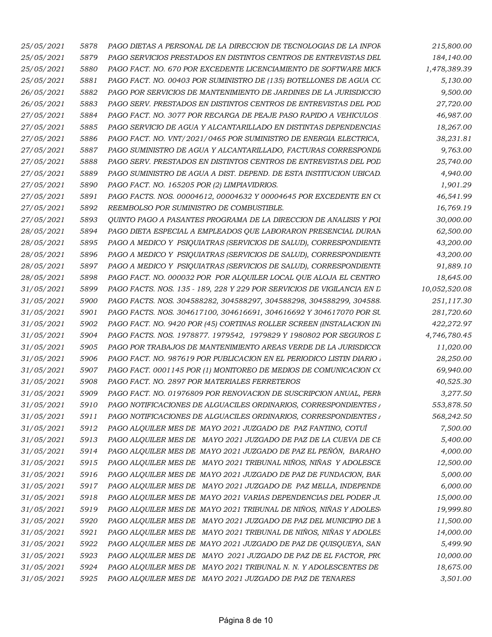| 25/05/2021 | 5878 | PAGO DIETAS A PERSONAL DE LA DIRECCION DE TECNOLOGIAS DE LA INFOR      | 215,800.00    |
|------------|------|------------------------------------------------------------------------|---------------|
| 25/05/2021 | 5879 | PAGO SERVICIOS PRESTADOS EN DISTINTOS CENTROS DE ENTREVISTAS DEL       | 184,140.00    |
| 25/05/2021 | 5880 | PAGO FACT. NO. 670 POR EXCEDENTE LICENCIAMIENTO DE SOFTWARE MICF       | 1,478,389.39  |
| 25/05/2021 | 5881 | PAGO FACT. NO. 00403 POR SUMINISTRO DE (135) BOTELLONES DE AGUA CC     | 5,130.00      |
| 26/05/2021 | 5882 | PAGO POR SERVICIOS DE MANTENIMIENTO DE JARDINES DE LA JURISDICCIO      | 9,500.00      |
| 26/05/2021 | 5883 | PAGO SERV. PRESTADOS EN DISTINTOS CENTROS DE ENTREVISTAS DEL POD       | 27,720.00     |
| 27/05/2021 | 5884 | PAGO FACT. NO. 3077 POR RECARGA DE PEAJE PASO RAPIDO A VEHICULOS.      | 46,987.00     |
| 27/05/2021 | 5885 | PAGO SERVICIO DE AGUA Y ALCANTARILLADO EN DISTINTAS DEPENDENCIAS       | 18,267.00     |
| 27/05/2021 | 5886 | PAGO FACT. NO. VNT/2021/0465 POR SUMINISTRO DE ENERGIA ELECTRICA,      | 38,231.81     |
| 27/05/2021 | 5887 | PAGO SUMINISTRO DE AGUA Y ALCANTARILLADO, FACTURAS CORRESPONDI         | 9,763.00      |
| 27/05/2021 | 5888 | PAGO SERV. PRESTADOS EN DISTINTOS CENTROS DE ENTREVISTAS DEL POD       | 25,740.00     |
| 27/05/2021 | 5889 | PAGO SUMINISTRO DE AGUA A DIST. DEPEND. DE ESTA INSTITUCION UBICAD.    | 4,940.00      |
| 27/05/2021 | 5890 | PAGO FACT. NO. 165205 POR (2) LIMPIAVIDRIOS.                           | 1,901.29      |
| 27/05/2021 | 5891 | PAGO FACTS. NOS. 00004612, 00004632 Y 00004645 POR EXCEDENTE EN CO     | 46,541.99     |
| 27/05/2021 | 5892 | REEMBOLSO POR SUMINISTRO DE COMBUSTIBLE.                               | 16,769.19     |
| 27/05/2021 | 5893 | QUINTO PAGO A PASANTES PROGRAMA DE LA DIRECCION DE ANALISIS Y POI      | 30,000.00     |
| 28/05/2021 | 5894 | PAGO DIETA ESPECIAL A EMPLEADOS QUE LABORARON PRESENCIAL DURAN         | 62,500.00     |
| 28/05/2021 | 5895 | PAGO A MEDICO Y PSIQUIATRAS (SERVICIOS DE SALUD), CORRESPONDIENTE      | 43,200.00     |
| 28/05/2021 | 5896 | PAGO A MEDICO Y PSIQUIATRAS (SERVICIOS DE SALUD), CORRESPONDIENTE      | 43,200.00     |
| 28/05/2021 | 5897 | PAGO A MEDICO Y PSIQUIATRAS (SERVICIOS DE SALUD), CORRESPONDIENTE      | 91,889.10     |
| 28/05/2021 | 5898 | PAGO FACT. NO. 000032 POR POR ALQUILER LOCAL QUE ALOJA EL CENTRO       | 18,645.00     |
| 31/05/2021 | 5899 | PAGO FACTS. NOS. 135 - 189, 228 Y 229 POR SERVICIOS DE VIGILANCIA EN D | 10,052,520.08 |
| 31/05/2021 | 5900 | PAGO FACTS. NOS. 304588282, 304588297, 304588298, 304588299, 304588.   | 251,117.30    |
| 31/05/2021 | 5901 | PAGO FACTS. NOS. 304617100, 304616691, 304616692 Y 304617070 POR SU    | 281,720.60    |
| 31/05/2021 | 5902 | PAGO FACT. NO. 9420 POR (45) CORTINAS ROLLER SCREEN (INSTALACION INI   | 422,272.97    |
| 31/05/2021 | 5904 | PAGO FACTS. NOS. 1978877. 1979542, 1979829 Y 1980802 POR SEGUROS L     | 4,746,780.45  |
| 31/05/2021 | 5905 | PAGO POR TRABAJOS DE MANTENIMIENTO AREAS VERDE DE LA JURISDICCIO       | 11,020.00     |
| 31/05/2021 | 5906 | PAGO FACT. NO. 987619 POR PUBLICACION EN EL PERIODICO LISTIN DIARIO i  | 28,250.00     |
| 31/05/2021 | 5907 | PAGO FACT. 0001145 POR (1) MONITOREO DE MEDIOS DE COMUNICACION CO      | 69,940.00     |
| 31/05/2021 | 5908 | PAGO FACT. NO. 2897 POR MATERIALES FERRETEROS                          | 40,525.30     |
| 31/05/2021 | 5909 | PAGO FACT. NO. 01976809 POR RENOVACION DE SUSCRIPCION ANUAL, PERN      | 3,277.50      |
| 31/05/2021 | 5910 | PAGO NOTIFICACIONES DE ALGUACILES ORDINARIOS, CORRESPONDIENTES A       | 553,878.50    |
| 31/05/2021 | 5911 | PAGO NOTIFICACIONES DE ALGUACILES ORDINARIOS, CORRESPONDIENTES A       | 568,242.50    |
| 31/05/2021 | 5912 | PAGO ALQUILER MES DE MAYO 2021 JUZGADO DE PAZ FANTINO, COTUÍ           | 7,500.00      |
| 31/05/2021 | 5913 | PAGO ALQUILER MES DE MAYO 2021 JUZGADO DE PAZ DE LA CUEVA DE CE        | 5,400.00      |
| 31/05/2021 | 5914 | PAGO ALQUILER MES DE MAYO 2021 JUZGADO DE PAZ EL PEÑÓN, BARAHO         | 4,000.00      |
| 31/05/2021 | 5915 | PAGO ALQUILER MES DE MAYO 2021 TRIBUNAL NIÑOS, NIÑAS Y ADOLESCE        | 12,500.00     |
| 31/05/2021 | 5916 | PAGO ALQUILER MES DE MAYO 2021 JUZGADO DE PAZ DE FUNDACION, BAR        | 5,000.00      |
| 31/05/2021 | 5917 | PAGO ALQUILER MES DE MAYO 2021 JUZGADO DE PAZ MELLA, INDEPENDE         | 6,000.00      |
| 31/05/2021 | 5918 | PAGO ALQUILER MES DE MAYO 2021 VARIAS DEPENDENCIAS DEL PODER JU        | 15,000.00     |
| 31/05/2021 | 5919 | PAGO ALQUILER MES DE MAYO 2021 TRIBUNAL DE NIÑOS, NIÑAS Y ADOLES       | 19,999.80     |
| 31/05/2021 | 5920 | PAGO ALQUILER MES DE MAYO 2021 JUZGADO DE PAZ DEL MUNICIPIO DE M       | 11,500.00     |
| 31/05/2021 | 5921 | PAGO ALQUILER MES DE MAYO 2021 TRIBUNAL DE NIÑOS, NIÑAS Y ADOLES       | 14,000.00     |
| 31/05/2021 | 5922 | PAGO ALQUILER MES DE MAYO 2021 JUZGADO DE PAZ DE QUISQUEYA, SAN        | 5,499.90      |
| 31/05/2021 | 5923 | PAGO ALQUILER MES DE MAYO 2021 JUZGADO DE PAZ DE EL FACTOR, PRO        | 10,000.00     |
| 31/05/2021 | 5924 | PAGO ALQUILER MES DE MAYO 2021 TRIBUNAL N. N. Y ADOLESCENTES DE        | 18,675.00     |
| 31/05/2021 | 5925 | PAGO ALQUILER MES DE MAYO 2021 JUZGADO DE PAZ DE TENARES               | 3,501.00      |
|            |      |                                                                        |               |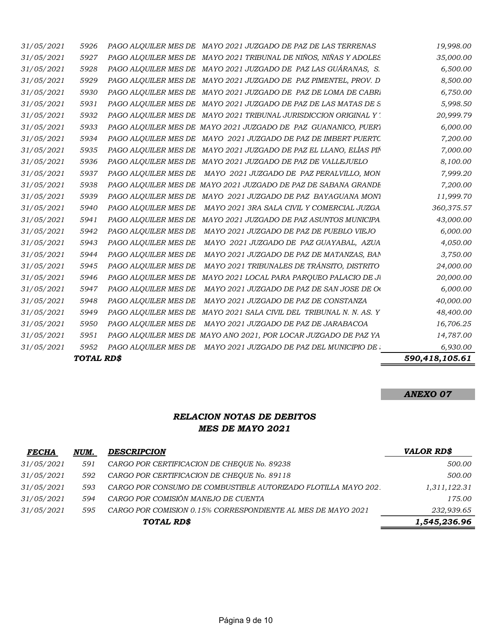| TOTAL RD\$ | 590,418,105.61 |                                                                    |            |
|------------|----------------|--------------------------------------------------------------------|------------|
| 31/05/2021 | 5952           | PAGO ALQUILER MES DE MAYO 2021 JUZGADO DE PAZ DEL MUNICIPIO DE .   | 6,930.00   |
| 31/05/2021 | 5951           | PAGO ALQUILER MES DE MAYO ANO 2021, POR LOCAR JUZGADO DE PAZ YA    | 14,787.00  |
| 31/05/2021 | 5950           | MAYO 2021 JUZGADO DE PAZ DE JARABACOA<br>PAGO ALQUILER MES DE      | 16,706.25  |
| 31/05/2021 | 5949           | PAGO ALQUILER MES DE MAYO 2021 SALA CIVIL DEL TRIBUNAL N. N. AS. Y | 48,400.00  |
| 31/05/2021 | 5948           | MAYO 2021 JUZGADO DE PAZ DE CONSTANZA<br>PAGO ALQUILER MES DE      | 40,000.00  |
| 31/05/2021 | 5947           | PAGO ALQUILER MES DE<br>MAYO 2021 JUZGADO DE PAZ DE SAN JOSE DE OC | 6,000.00   |
| 31/05/2021 | 5946           | PAGO ALQUILER MES DE<br>MAYO 2021 LOCAL PARA PAROUEO PALACIO DE JI | 20,000.00  |
| 31/05/2021 | 5945           | MAYO 2021 TRIBUNALES DE TRÁNSITO, DISTRITO<br>PAGO ALQUILER MES DE | 24,000.00  |
| 31/05/2021 | 5944           | PAGO ALOUILER MES DE<br>MAYO 2021 JUZGADO DE PAZ DE MATANZAS, BAN  | 3,750.00   |
| 31/05/2021 | 5943           | PAGO ALQUILER MES DE<br>MAYO 2021 JUZGADO DE PAZ GUAYABAL, AZUA    | 4,050.00   |
| 31/05/2021 | 5942           | PAGO ALOUILER MES DE<br>MAYO 2021 JUZGADO DE PAZ DE PUEBLO VIEJO   | 6,000.00   |
| 31/05/2021 | 5941           | PAGO ALQUILER MES DE MAYO 2021 JUZGADO DE PAZ ASUNTOS MUNICIPA     | 43,000.00  |
| 31/05/2021 | 5940           | PAGO ALOUILER MES DE MAYO 2021 3RA SALA CIVIL Y COMERCIAL JUZGA    | 360,375.57 |
| 31/05/2021 | 5939           | PAGO ALQUILER MES DE MAYO 2021 JUZGADO DE PAZ BAYAGUANA MON1       | 11,999.70  |
| 31/05/2021 | 5938           | PAGO ALQUILER MES DE MAYO 2021 JUZGADO DE PAZ DE SABANA GRANDE     | 7,200.00   |
| 31/05/2021 | 5937           | PAGO ALQUILER MES DE MAYO 2021 JUZGADO DE PAZ PERALVILLO, MON      | 7,999.20   |
| 31/05/2021 | 5936           | PAGO ALQUILER MES DE MAYO 2021 JUZGADO DE PAZ DE VALLEJUELO        | 8,100.00   |
| 31/05/2021 | 5935           | PAGO ALQUILER MES DE MAYO 2021 JUZGADO DE PAZ EL LLANO, ELÍAS PIN  | 7,000.00   |
| 31/05/2021 | 5934           | PAGO ALQUILER MES DE MAYO 2021 JUZGADO DE PAZ DE IMBERT PUERTC     | 7,200.00   |
| 31/05/2021 | 5933           | PAGO ALQUILER MES DE MAYO 2021 JUZGADO DE PAZ GUANANICO, PUER1     | 6,000.00   |
| 31/05/2021 | 5932           | PAGO ALQUILER MES DE MAYO 2021 TRIBUNAL JURISDICCION ORIGINAL Y'.  | 20,999.79  |
| 31/05/2021 | 5931           | PAGO ALOUILER MES DE MAYO 2021 JUZGADO DE PAZ DE LAS MATAS DE S    | 5,998.50   |
| 31/05/2021 | 5930           | PAGO ALQUILER MES DE MAYO 2021 JUZGADO DE PAZ DE LOMA DE CABRI     | 6,750.00   |
| 31/05/2021 | 5929           | PAGO ALQUILER MES DE MAYO 2021 JUZGADO DE PAZ PIMENTEL, PROV. D    | 8,500.00   |
| 31/05/2021 | 5928           | PAGO ALQUILER MES DE MAYO 2021 JUZGADO DE PAZ LAS GUÁRANAS, S.     | 6,500.00   |
| 31/05/2021 | 5927           | PAGO ALQUILER MES DE MAYO 2021 TRIBUNAL DE NIÑOS, NIÑAS Y ADOLES   | 35,000.00  |
| 31/05/2021 | 5926           | PAGO ALQUILER MES DE MAYO 2021 JUZGADO DE PAZ DE LAS TERRENAS      | 19,998.00  |

#### RELACION NOTAS DE DEBITOS MES DE MAYO 2021

| <b>FECHA</b>      | NUM. | <b>DESCRIPCION</b>                                             | <b>VALOR RD\$</b> |
|-------------------|------|----------------------------------------------------------------|-------------------|
| <i>31/05/2021</i> | 591  | CARGO POR CERTIFICACION DE CHEOUE No. 89238                    | 500.00            |
| 31/05/2021        | 592  | CARGO POR CERTIFICACION DE CHEQUE No. 89118                    | 500.00            |
| 31/05/2021        | 593  | CARGO POR CONSUMO DE COMBUSTIBLE AUTORIZADO FLOTILLA MAYO 202. | 1,311,122.31      |
| 31/05/2021        | .594 | CARGO POR COMISIÓN MANEJO DE CUENTA                            | 175.00            |
| 31/05/2021        | 595  | CARGO POR COMISION 0.15% CORRESPONDIENTE AL MES DE MAYO 2021   | 232,939.65        |
| TOTAL RD\$        |      |                                                                | 1,545,236.96      |